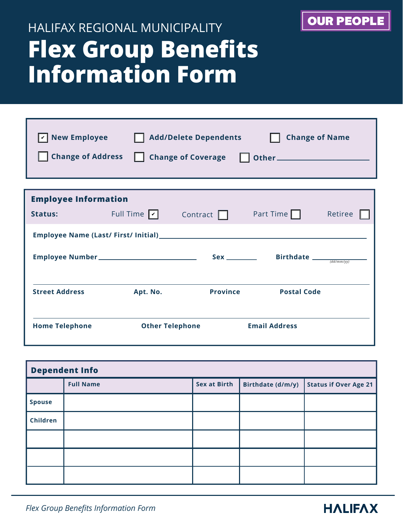## **Flex Group Benefits Information Form** HALIFAX REGIONAL MUNICIPALITY

| <b>New Employee</b>         |                               | <b>Add/Delete Dependents</b> | <b>Change of Name</b>                                            |         |  |
|-----------------------------|-------------------------------|------------------------------|------------------------------------------------------------------|---------|--|
| <b>Change of Address</b>    |                               |                              |                                                                  |         |  |
|                             |                               |                              |                                                                  |         |  |
| <b>Employee Information</b> |                               |                              |                                                                  |         |  |
| <b>Status:</b>              | Full Time $\boxed{\check{v}}$ | Contract $\Box$              | Part Time $\Box$                                                 | Retiree |  |
|                             |                               |                              |                                                                  |         |  |
|                             |                               |                              | Sex _________ Birthdate $\frac{1}{\text{dist}(m m / \text{vV})}$ |         |  |
|                             |                               |                              |                                                                  |         |  |
| <b>Street Address</b>       | Apt. No.                      | <b>Province</b>              | <b>Postal Code</b>                                               |         |  |
|                             |                               |                              |                                                                  |         |  |
| <b>Home Telephone</b>       | <b>Other Telephone</b>        |                              | <b>Email Address</b>                                             |         |  |

| <b>Dependent Info</b> |                  |                     |                   |                              |  |  |
|-----------------------|------------------|---------------------|-------------------|------------------------------|--|--|
|                       | <b>Full Name</b> | <b>Sex at Birth</b> | Birthdate (d/m/y) | <b>Status if Over Age 21</b> |  |  |
| <b>Spouse</b>         |                  |                     |                   |                              |  |  |
| Children              |                  |                     |                   |                              |  |  |
|                       |                  |                     |                   |                              |  |  |
|                       |                  |                     |                   |                              |  |  |
|                       |                  |                     |                   |                              |  |  |



OUR PEOPLE